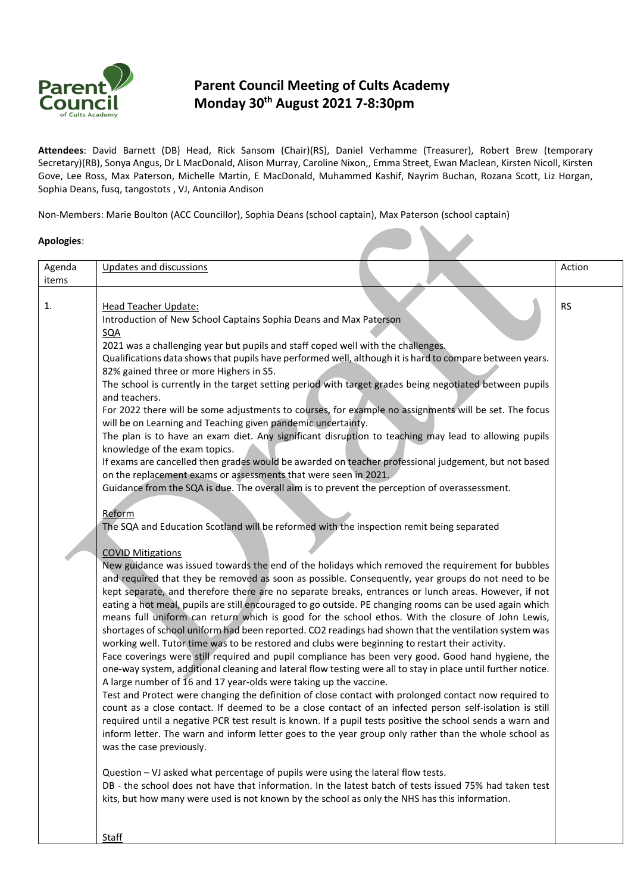

## **Parent Council Meeting of Cults Academy Monday 30th August 2021 7-8:30pm**

**Attendees**: David Barnett (DB) Head, Rick Sansom (Chair)(RS), Daniel Verhamme (Treasurer), Robert Brew (temporary Secretary)(RB), Sonya Angus, Dr L MacDonald, Alison Murray, Caroline Nixon,, Emma Street, Ewan Maclean, Kirsten Nicoll, Kirsten Gove, Lee Ross, Max Paterson, Michelle Martin, E MacDonald, Muhammed Kashif, Nayrim Buchan, Rozana Scott, Liz Horgan, Sophia Deans, fusq, tangostots , VJ, Antonia Andison

Non-Members: Marie Boulton (ACC Councillor), Sophia Deans (school captain), Max Paterson (school captain)

## **Apologies**:

| Agenda<br>items | Updates and discussions                                                                                                                                                                                                                                                                                                                                                                                                                                                                                                                                                                                                                                                                                                                                                                                                                                                                                                                                                                                                                                                                                                                                                                                                                                                                                                                                                                                                                                                                                                                                                                                                                                                                                                                                                                                                                                                                                                                                                                                                                                                                                                                                                                                                                                                                                                                                                                                                                                                                                                                                                                                                                                                                                                                                                                                                                                                                                                                                                                                                                               | Action    |
|-----------------|-------------------------------------------------------------------------------------------------------------------------------------------------------------------------------------------------------------------------------------------------------------------------------------------------------------------------------------------------------------------------------------------------------------------------------------------------------------------------------------------------------------------------------------------------------------------------------------------------------------------------------------------------------------------------------------------------------------------------------------------------------------------------------------------------------------------------------------------------------------------------------------------------------------------------------------------------------------------------------------------------------------------------------------------------------------------------------------------------------------------------------------------------------------------------------------------------------------------------------------------------------------------------------------------------------------------------------------------------------------------------------------------------------------------------------------------------------------------------------------------------------------------------------------------------------------------------------------------------------------------------------------------------------------------------------------------------------------------------------------------------------------------------------------------------------------------------------------------------------------------------------------------------------------------------------------------------------------------------------------------------------------------------------------------------------------------------------------------------------------------------------------------------------------------------------------------------------------------------------------------------------------------------------------------------------------------------------------------------------------------------------------------------------------------------------------------------------------------------------------------------------------------------------------------------------------------------------------------------------------------------------------------------------------------------------------------------------------------------------------------------------------------------------------------------------------------------------------------------------------------------------------------------------------------------------------------------------------------------------------------------------------------------------------------------------|-----------|
| 1.              | <b>Head Teacher Update:</b><br>Introduction of New School Captains Sophia Deans and Max Paterson<br><u>SQA</u><br>2021 was a challenging year but pupils and staff coped well with the challenges.<br>Qualifications data shows that pupils have performed well, although it is hard to compare between years.<br>82% gained three or more Highers in S5.<br>The school is currently in the target setting period with target grades being negotiated between pupils<br>and teachers.<br>For 2022 there will be some adjustments to courses, for example no assignments will be set. The focus<br>will be on Learning and Teaching given pandemic uncertainty.<br>The plan is to have an exam diet. Any significant disruption to teaching may lead to allowing pupils<br>knowledge of the exam topics.<br>If exams are cancelled then grades would be awarded on teacher professional judgement, but not based<br>on the replacement exams or assessments that were seen in 2021.<br>Guidance from the SQA is due. The overall aim is to prevent the perception of overassessment.<br>Reform<br>The SQA and Education Scotland will be reformed with the inspection remit being separated<br><b>COVID Mitigations</b><br>New guidance was issued towards the end of the holidays which removed the requirement for bubbles<br>and required that they be removed as soon as possible. Consequently, year groups do not need to be<br>kept separate, and therefore there are no separate breaks, entrances or lunch areas. However, if not<br>eating a hot meal, pupils are still encouraged to go outside. PE changing rooms can be used again which<br>means full uniform can return which is good for the school ethos. With the closure of John Lewis,<br>shortages of school uniform had been reported. CO2 readings had shown that the ventilation system was<br>working well. Tutor time was to be restored and clubs were beginning to restart their activity.<br>Face coverings were still required and pupil compliance has been very good. Good hand hygiene, the<br>one-way system, additional cleaning and lateral flow testing were all to stay in place until further notice.<br>A large number of 16 and 17 year-olds were taking up the vaccine.<br>Test and Protect were changing the definition of close contact with prolonged contact now required to<br>count as a close contact. If deemed to be a close contact of an infected person self-isolation is still<br>required until a negative PCR test result is known. If a pupil tests positive the school sends a warn and<br>inform letter. The warn and inform letter goes to the year group only rather than the whole school as<br>was the case previously.<br>Question - VJ asked what percentage of pupils were using the lateral flow tests.<br>DB - the school does not have that information. In the latest batch of tests issued 75% had taken test<br>kits, but how many were used is not known by the school as only the NHS has this information.<br><b>Staff</b> | <b>RS</b> |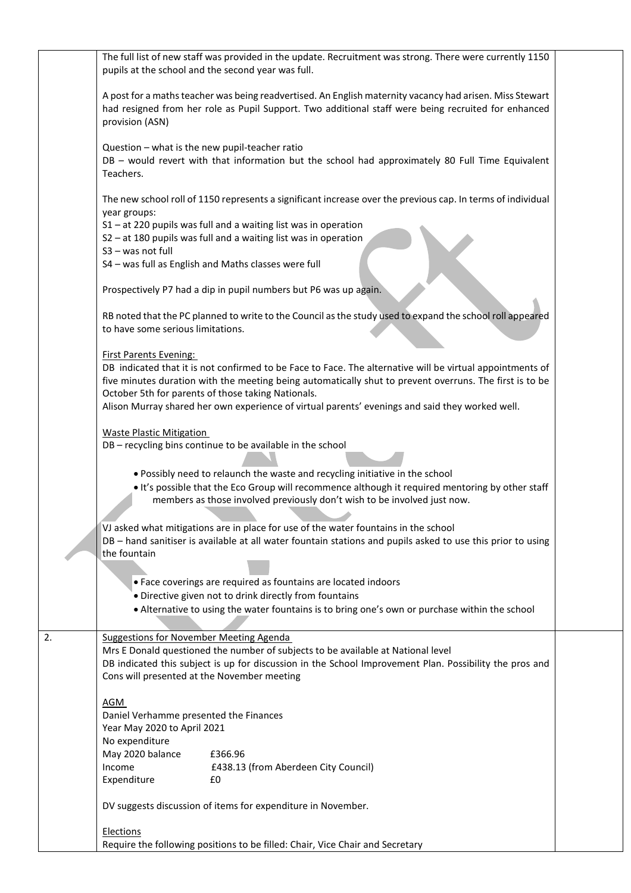|    | The full list of new staff was provided in the update. Recruitment was strong. There were currently 1150<br>pupils at the school and the second year was full.                                                                                                                                                                                                                                                 |
|----|----------------------------------------------------------------------------------------------------------------------------------------------------------------------------------------------------------------------------------------------------------------------------------------------------------------------------------------------------------------------------------------------------------------|
|    | A post for a maths teacher was being readvertised. An English maternity vacancy had arisen. Miss Stewart<br>had resigned from her role as Pupil Support. Two additional staff were being recruited for enhanced<br>provision (ASN)                                                                                                                                                                             |
|    | Question - what is the new pupil-teacher ratio<br>DB - would revert with that information but the school had approximately 80 Full Time Equivalent<br>Teachers.                                                                                                                                                                                                                                                |
|    | The new school roll of 1150 represents a significant increase over the previous cap. In terms of individual<br>year groups:                                                                                                                                                                                                                                                                                    |
|    | $S1 - at 220$ pupils was full and a waiting list was in operation<br>S2 - at 180 pupils was full and a waiting list was in operation<br>S3 - was not full                                                                                                                                                                                                                                                      |
|    | S4 - was full as English and Maths classes were full                                                                                                                                                                                                                                                                                                                                                           |
|    | Prospectively P7 had a dip in pupil numbers but P6 was up again.                                                                                                                                                                                                                                                                                                                                               |
|    | RB noted that the PC planned to write to the Council as the study used to expand the school roll appeared<br>to have some serious limitations.                                                                                                                                                                                                                                                                 |
|    | <b>First Parents Evening:</b><br>DB indicated that it is not confirmed to be Face to Face. The alternative will be virtual appointments of<br>five minutes duration with the meeting being automatically shut to prevent overruns. The first is to be<br>October 5th for parents of those taking Nationals.<br>Alison Murray shared her own experience of virtual parents' evenings and said they worked well. |
|    | <b>Waste Plastic Mitigation</b><br>DB - recycling bins continue to be available in the school                                                                                                                                                                                                                                                                                                                  |
|    | . Possibly need to relaunch the waste and recycling initiative in the school<br>. It's possible that the Eco Group will recommence although it required mentoring by other staff<br>members as those involved previously don't wish to be involved just now.                                                                                                                                                   |
|    | VJ asked what mitigations are in place for use of the water fountains in the school<br>DB - hand sanitiser is available at all water fountain stations and pupils asked to use this prior to using<br>the fountain                                                                                                                                                                                             |
|    | • Face coverings are required as fountains are located indoors                                                                                                                                                                                                                                                                                                                                                 |
|    | • Directive given not to drink directly from fountains<br>• Alternative to using the water fountains is to bring one's own or purchase within the school                                                                                                                                                                                                                                                       |
| 2. | Suggestions for November Meeting Agenda                                                                                                                                                                                                                                                                                                                                                                        |
|    | Mrs E Donald questioned the number of subjects to be available at National level<br>DB indicated this subject is up for discussion in the School Improvement Plan. Possibility the pros and                                                                                                                                                                                                                    |
|    | Cons will presented at the November meeting                                                                                                                                                                                                                                                                                                                                                                    |
|    | <b>AGM</b><br>Daniel Verhamme presented the Finances                                                                                                                                                                                                                                                                                                                                                           |
|    | Year May 2020 to April 2021                                                                                                                                                                                                                                                                                                                                                                                    |
|    | No expenditure<br>£366.96<br>May 2020 balance                                                                                                                                                                                                                                                                                                                                                                  |
|    | Income<br>£438.13 (from Aberdeen City Council)<br>Expenditure<br>£0                                                                                                                                                                                                                                                                                                                                            |
|    | DV suggests discussion of items for expenditure in November.                                                                                                                                                                                                                                                                                                                                                   |
|    | Elections                                                                                                                                                                                                                                                                                                                                                                                                      |
|    | Require the following positions to be filled: Chair, Vice Chair and Secretary                                                                                                                                                                                                                                                                                                                                  |